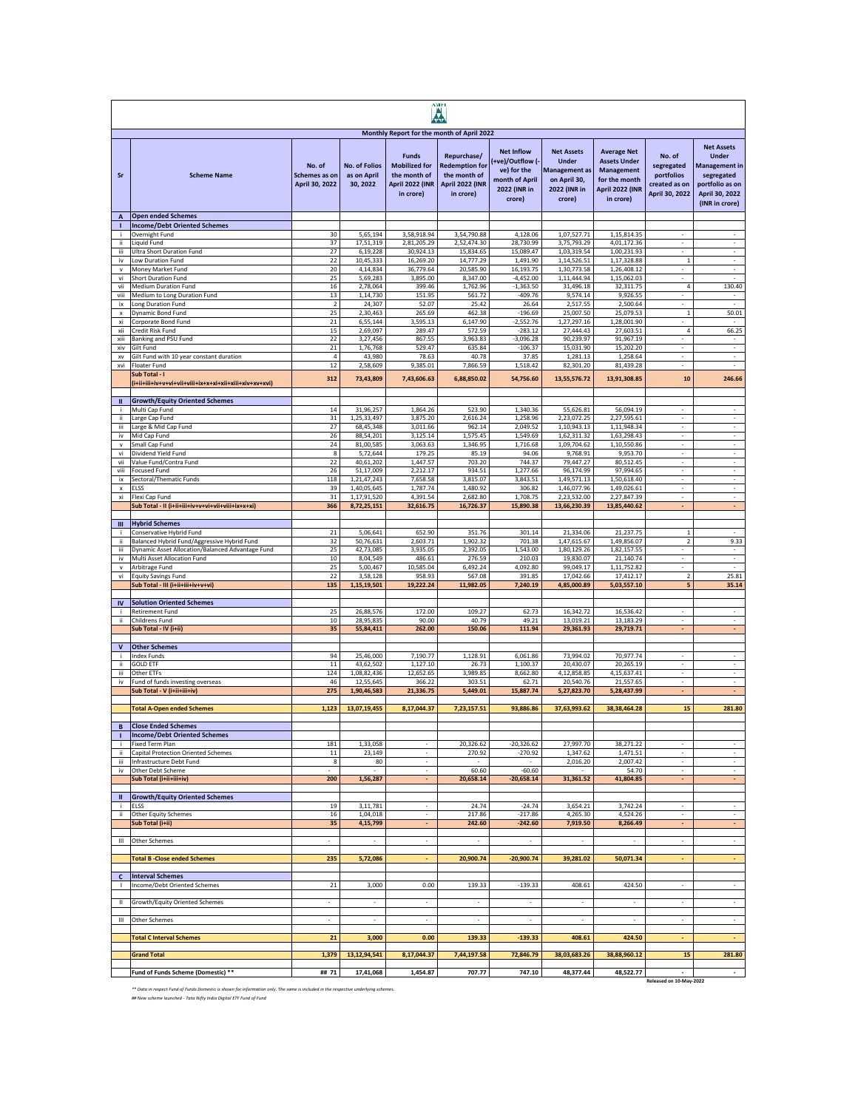|                           | AMEI<br><b>A</b>                                                                |                                           |                                                 |                                                                                      |                                                                                      |                                                                                                 |                                                                                                     |                                                                                                                 |                                                                       |                                                                                                                                |
|---------------------------|---------------------------------------------------------------------------------|-------------------------------------------|-------------------------------------------------|--------------------------------------------------------------------------------------|--------------------------------------------------------------------------------------|-------------------------------------------------------------------------------------------------|-----------------------------------------------------------------------------------------------------|-----------------------------------------------------------------------------------------------------------------|-----------------------------------------------------------------------|--------------------------------------------------------------------------------------------------------------------------------|
|                           |                                                                                 |                                           |                                                 | Monthly Report for the month of April 2022                                           |                                                                                      |                                                                                                 |                                                                                                     |                                                                                                                 |                                                                       |                                                                                                                                |
| Sr                        | <b>Scheme Name</b>                                                              | No. of<br>Schemes as on<br>April 30, 2022 | <b>No. of Folios</b><br>as on April<br>30, 2022 | <b>Funds</b><br><b>Mobilized for</b><br>the month of<br>April 2022 (INR<br>in crore) | Repurchase/<br><b>Redemption for</b><br>the month of<br>April 2022 (INR<br>in crore) | <b>Net Inflow</b><br>+ve)/Outflow (-<br>ve) for the<br>month of April<br>2022 (INR in<br>crore) | <b>Net Assets</b><br><b>Under</b><br><b>Management</b> as<br>on April 30,<br>2022 (INR in<br>crore) | <b>Average Net</b><br><b>Assets Under</b><br><b>Management</b><br>for the month<br>April 2022 (INR<br>in crore) | No. of<br>segregated<br>portfolios<br>created as on<br>April 30, 2022 | <b>Net Assets</b><br><b>Under</b><br><b>Management</b> in<br>segregated<br>portfolio as on<br>April 30, 2022<br>(INR in crore) |
| A                         | <b>Open ended Schemes</b>                                                       |                                           |                                                 |                                                                                      |                                                                                      |                                                                                                 |                                                                                                     |                                                                                                                 |                                                                       |                                                                                                                                |
| п<br>j.                   | <b>Income/Debt Oriented Schemes</b><br>Overnight Fund                           | 30                                        | 5,65,194                                        | 3,58,918.94                                                                          | 3,54,790.88                                                                          | 4,128.06                                                                                        | 1,07,527.71                                                                                         | 1,15,814.35                                                                                                     | $\overline{\phantom{a}}$                                              | $\overline{\phantom{a}}$                                                                                                       |
| ii.<br>iii                | Liquid Fund<br>Ultra Short Duration Fund                                        | 37<br>27                                  | 17,51,319<br>6,19,228                           | 2,81,205.29<br>30,924.13                                                             | 2,52,474.30<br>15,834.65                                                             | 28,730.99<br>15,089.47                                                                          | 3,75,793.29<br>1,03,319.54                                                                          | 4,01,172.36<br>1,00,231.93                                                                                      | $\overline{\phantom{a}}$<br>$\overline{\phantom{a}}$                  | $\overline{\phantom{a}}$<br>$\overline{\phantom{a}}$                                                                           |
| iv                        | Low Duration Fund                                                               | 22                                        | 10,45,333                                       | 16,269.20                                                                            | 14,777.29                                                                            | 1.491.90                                                                                        | 1,14,526.51                                                                                         | 1.17.328.88                                                                                                     | $\,1\,$                                                               | $\sim$                                                                                                                         |
| $\mathbf{v}$              | Money Market Fund<br>Short Duration Fund                                        | 20<br>25                                  | 4.14.834<br>5,69,283                            | 36,779.64<br>3,895.00                                                                | 20,585.90<br>8,347.00                                                                | 16,193.75<br>$-4,452.00$                                                                        | 1,30,773.58<br>1,11,444.94                                                                          | 1,26,408.12<br>1,15,062.03                                                                                      | ä,                                                                    | ×<br>÷.                                                                                                                        |
| vi<br>vii                 | Medium Duration Fund                                                            | 16                                        | 2,78,064                                        | 399.46                                                                               | 1,762.96                                                                             | $-1,363.50$                                                                                     | 31,496.18                                                                                           | 32,311.75                                                                                                       | 4                                                                     | 130.40                                                                                                                         |
| viii<br>ix                | Medium to Long Duration Fund<br>Long Duration Fund                              | 13<br>$\overline{2}$                      | 1,14,730<br>24,307                              | 151.95<br>52.07                                                                      | 561.72<br>25.42                                                                      | $-409.76$<br>26.64                                                                              | 9,574.14<br>2,517.55                                                                                | 9,926.55<br>2,500.64                                                                                            | $\omega$                                                              | ÷,                                                                                                                             |
| $\boldsymbol{\mathsf{x}}$ | Dynamic Bond Fund                                                               | 25                                        | 2,30,463                                        | 265.69                                                                               | 462.38                                                                               | $-196.69$                                                                                       | 25,007.50                                                                                           | 25,079.53                                                                                                       | $1\,$                                                                 | 50.01                                                                                                                          |
| xi<br>xii                 | Corporate Bond Fund<br>Credit Risk Fund                                         | 21<br>$15\,$                              | 6,55,144<br>2,69,097                            | 3,595.13<br>289.47                                                                   | 6,147.90<br>572.59                                                                   | $-2,552.\overline{76}$<br>$-283.12$                                                             | 1,27,297.16<br>27,444.43                                                                            | 1,28,001.90<br>27,603.51                                                                                        | $\sqrt{4}$                                                            | 66.25                                                                                                                          |
| xiii                      | Banking and PSU Fund                                                            | 22                                        | 3,27,456                                        | 867.55                                                                               | 3,963.83                                                                             | $-3,096.28$                                                                                     | 90,239.97                                                                                           | 91,967.19                                                                                                       | $\overline{\phantom{a}}$                                              | $\sim$                                                                                                                         |
| xiv                       | Gilt Fund                                                                       | 21<br>$\overline{4}$                      | 1,76,768                                        | 529.47                                                                               | 635.84<br>40.78                                                                      | $-106.37$                                                                                       | 15,031.90                                                                                           | 15,202.20                                                                                                       | $\sim$<br>$\overline{\phantom{a}}$                                    | $\sim$<br>$\sim$                                                                                                               |
| <b>XV</b><br>xvi          | Gilt Fund with 10 year constant duration<br>Floater Fund                        | 12                                        | 43,980<br>2,58,609                              | 78.63<br>9,385.01                                                                    | 7,866.59                                                                             | 37.85<br>1,518.42                                                                               | 1,281.13<br>82,301.20                                                                               | 1,258.64<br>81,439.28                                                                                           | $\overline{\phantom{a}}$                                              | $\overline{\phantom{a}}$                                                                                                       |
|                           | Sub Total - I                                                                   | 312                                       | 73,43,809                                       | 7,43,606.63                                                                          | 6,88,850.02                                                                          | 54,756.60                                                                                       | 13,55,576.72                                                                                        | 13,91,308.85                                                                                                    | 10                                                                    | 246.66                                                                                                                         |
| $\mathbf{u}$              | <b>Growth/Equity Oriented Schemes</b>                                           |                                           |                                                 |                                                                                      |                                                                                      |                                                                                                 |                                                                                                     |                                                                                                                 |                                                                       |                                                                                                                                |
| Ť<br>ii.                  | Multi Cap Fund<br>Large Cap Fund                                                | 14<br>31                                  | 31,96,257<br>1,25,33,497                        | 1,864.26<br>3.875.20                                                                 | 523.90<br>2,616.24                                                                   | 1,340.36<br>1,258.96                                                                            | 55,626.81<br>2,23,072.25                                                                            | 56,094.19<br>2,27,595.61                                                                                        |                                                                       |                                                                                                                                |
| iіі                       | Large & Mid Cap Fund                                                            | 27                                        | 68,45,348                                       | 3,011.66                                                                             | 962.14                                                                               | 2,049.52                                                                                        | 1,10,943.13                                                                                         | 1,11,948.34                                                                                                     | $\overline{\phantom{a}}$                                              | $\overline{\phantom{a}}$                                                                                                       |
| iv                        | Mid Cap Fund                                                                    | 26                                        | 88,54,201<br>81,00,585                          | 3,125.14                                                                             | 1,575.45                                                                             | 1,549.69                                                                                        | 1,62,311.32                                                                                         | 1,63,298.43                                                                                                     | $\overline{\phantom{a}}$                                              | $\sim$                                                                                                                         |
| $\mathsf{v}$<br>vi        | Small Cap Fund<br>Dividend Yield Fund                                           | 24<br>8                                   | 5,72,644                                        | 3,063.63<br>179.25                                                                   | 1,346.95<br>85.19                                                                    | 1,716.68<br>94.06                                                                               | 1,09,704.62<br>9,768.91                                                                             | 1,10,550.86<br>9,953.70                                                                                         | $\overline{\phantom{a}}$<br>$\overline{\phantom{a}}$                  | $\overline{\phantom{a}}$<br>$\overline{\phantom{a}}$                                                                           |
| vii                       | Value Fund/Contra Fund                                                          | 22                                        | 40,61,202                                       | 1,447.57                                                                             | 703.20                                                                               | 744.37                                                                                          | 79,447.27                                                                                           | 80,512.45<br>97,994.65                                                                                          | $\overline{\phantom{a}}$<br>×                                         | $\overline{\phantom{a}}$<br>$\sim$                                                                                             |
| viii<br>ix                | <b>Focused Fund</b><br>Sectoral/Thematic Funds                                  | 26<br>118                                 | 51,17,009<br>1,21,47,243                        | 2,212.17<br>7,658.58                                                                 | 934.51<br>3,815.07                                                                   | 1,277.66<br>3,843.51                                                                            | 96,174.99<br>1,49,571.13                                                                            | 1,50,618.40                                                                                                     | ÷.                                                                    | $\omega$                                                                                                                       |
| $\pmb{\mathsf{x}}$        | ELSS                                                                            | 39                                        | 1,40,05,645                                     | 1,787.74                                                                             | 1,480.92                                                                             | 306.82                                                                                          | 1,46,077.96                                                                                         | 1,49,026.61                                                                                                     | ÷.<br>$\omega$                                                        | $\omega$<br>÷                                                                                                                  |
| xi                        | Flexi Cap Fund<br>Sub Total - II (i+ii+iii+iv+v+vi+vii+viii+ix+x+xi)            | 31<br>366                                 | 1,17,91,520<br>8,72,25,151                      | 4,391.54<br>32,616.75                                                                | 2,682.80<br>16,726.37                                                                | 1,708.75<br>15,890.38                                                                           | 2,23,532.00<br>13,66,230.39                                                                         | 2,27,847.39<br>13,85,440.62                                                                                     |                                                                       |                                                                                                                                |
|                           | <b>Hybrid Schemes</b>                                                           |                                           |                                                 |                                                                                      |                                                                                      |                                                                                                 |                                                                                                     |                                                                                                                 |                                                                       |                                                                                                                                |
| Ш<br>÷                    | Conservative Hybrid Fund                                                        | 21                                        | 5,06,641                                        | 652.90                                                                               | 351.76                                                                               | 301.14                                                                                          | 21,334.06                                                                                           | 21,237.75                                                                                                       | $\mathbf{1}$                                                          | $\sim$                                                                                                                         |
| ii.<br>iii                | Balanced Hybrid Fund/Aggressive Hybrid Fund                                     | 32<br>25                                  | 50,76,631                                       | 2,603.71                                                                             | 1,902.32                                                                             | 701.38                                                                                          | 1,47,615.67                                                                                         | 1,49,856.07                                                                                                     | $\overline{2}$<br>$\overline{\phantom{a}}$                            | 9.33<br>$\overline{\phantom{a}}$                                                                                               |
| iv                        | Dynamic Asset Allocation/Balanced Advantage Fund<br>Multi Asset Allocation Fund | 10                                        | 42,73,085<br>8,04,549                           | 3,935.05<br>486.61                                                                   | 2,392.05<br>276.59                                                                   | 1,543.00<br>210.03                                                                              | 1,80,129.26<br>19,830.07                                                                            | 1,82,157.55<br>21,140.74                                                                                        | $\bar{a}$                                                             | $\overline{\phantom{a}}$                                                                                                       |
| $\mathbf{v}$<br>vi        | Arbitrage Fund                                                                  | 25<br>22                                  | 5,00,467<br>3,58,128                            | 10,585.04<br>958.93                                                                  | 6,492.24<br>567.08                                                                   | 4,092.80                                                                                        | 99,049.17<br>17,042.66                                                                              | 1,11,752.82<br>17,412.17                                                                                        | à.<br>$\overline{2}$                                                  | ×<br>25.81                                                                                                                     |
|                           | <b>Equity Savings Fund</b><br>Sub Total - III (i+ii+iii+iv+v+vi)                | 135                                       | 1,15,19,501                                     | 19,222.24                                                                            | 11,982.05                                                                            | 391.85<br>7,240.19                                                                              | 4,85,000.89                                                                                         | 5,03,557.10                                                                                                     | 5                                                                     | 35.14                                                                                                                          |
| <b>IV</b>                 | <b>Solution Oriented Schemes</b>                                                |                                           |                                                 |                                                                                      |                                                                                      |                                                                                                 |                                                                                                     |                                                                                                                 |                                                                       |                                                                                                                                |
|                           | Retirement Fund                                                                 | 25                                        | 26,88,576                                       | 172.00                                                                               | 109.27                                                                               | 62.73                                                                                           | 16,342.72                                                                                           | 16,536.42                                                                                                       |                                                                       |                                                                                                                                |
| ii.                       | Childrens Fund<br>Sub Total - IV (i+ii)                                         | 10<br>35                                  | 28,95,835<br>55,84,411                          | 90.00<br>262.00                                                                      | 40.79<br>150.06                                                                      | 49.21<br>111.94                                                                                 | 13,019.21<br>29,361.93                                                                              | 13,183.29<br>29,719.71                                                                                          | $\epsilon$<br>$\blacksquare$                                          | $\sim$<br>$\blacksquare$                                                                                                       |
|                           |                                                                                 |                                           |                                                 |                                                                                      |                                                                                      |                                                                                                 |                                                                                                     |                                                                                                                 |                                                                       |                                                                                                                                |
| $\mathbf v$               | <b>Other Schemes</b><br><b>Index Funds</b>                                      | 94                                        | 25,46,000                                       | 7.190.77                                                                             | 1,128.91                                                                             | 6,061.86                                                                                        | 73,994.02                                                                                           | 70,977.74                                                                                                       | $\omega$                                                              | $\sim$                                                                                                                         |
| ü                         | <b>GOLD ETF</b>                                                                 | $11\,$                                    | 43,62,502                                       | 1,127.10                                                                             | 26.73                                                                                | 1,100.37                                                                                        | 20,430.07                                                                                           | 20,265.19                                                                                                       | ÷.                                                                    | $\omega$                                                                                                                       |
| iii<br>iv                 | Other ETFs<br>Fund of funds investing overseas                                  | 124<br>46                                 | 1,08,82,436<br>12,55,645                        | 12,652.65<br>366.22                                                                  | 3,989.85<br>303.51                                                                   | 8,662.80<br>62.71                                                                               | 4,12,858.85<br>20,540.76                                                                            | 4,15,637.41<br>21,557.65                                                                                        | $\omega$<br>$\omega$                                                  | ÷<br>$\sim$                                                                                                                    |
|                           | Sub Total - V (i+ii+iii+iv)                                                     | 275                                       | 1,90,46,583                                     | 21,336.75                                                                            | 5,449.01                                                                             | 15,887.74                                                                                       | 5,27,823.70                                                                                         | 5,28,437.99                                                                                                     |                                                                       | ٠                                                                                                                              |
|                           | <b>Total A-Open ended Schemes</b>                                               | 1,123                                     | 13,07,19,455                                    | 8,17,044.37                                                                          | 7,23,157.51                                                                          | 93,886.86                                                                                       | 37,63,993.62                                                                                        | 38, 38, 464. 28                                                                                                 | 15                                                                    | 281.80                                                                                                                         |
|                           |                                                                                 |                                           |                                                 |                                                                                      |                                                                                      |                                                                                                 |                                                                                                     |                                                                                                                 |                                                                       |                                                                                                                                |
| $\blacksquare$            | <b>Close Ended Schemes</b><br><b>Income/Debt Oriented Schemes</b>               |                                           |                                                 |                                                                                      |                                                                                      |                                                                                                 |                                                                                                     |                                                                                                                 |                                                                       |                                                                                                                                |
| j.                        | Fixed Term Plan                                                                 | 181                                       | 1,33,058                                        | ÷.<br>ä,                                                                             | 20,326.62                                                                            | $-20,326.62$                                                                                    | 27,997.70                                                                                           | 38,271.22                                                                                                       | $\omega$<br>÷.                                                        | ÷<br>$\omega$                                                                                                                  |
| ï<br>iii                  | Capital Protection Oriented Schemes<br>Infrastructure Debt Fund                 | $11\,$<br>8                               | 23,149<br>80                                    | $\overline{\phantom{a}}$                                                             | 270.92                                                                               | $-270.92$                                                                                       | 1,347.62<br>2,016.20                                                                                | 1,471.51<br>2,007.42                                                                                            | $\mathcal{L}_{\mathcal{A}}$                                           | $\sim$                                                                                                                         |
| iv                        | Other Debt Scheme                                                               | 200                                       | 1,56,287                                        |                                                                                      | 60.60<br>20,658.14                                                                   | $-60.60$<br>$-20,658.14$                                                                        | 31,361.52                                                                                           | 54.70                                                                                                           |                                                                       |                                                                                                                                |
|                           | Sub Total (i+ii+iii+iv)                                                         |                                           |                                                 |                                                                                      |                                                                                      |                                                                                                 |                                                                                                     | 41,804.85                                                                                                       |                                                                       | ٠                                                                                                                              |
| ш                         | <b>Growth/Equity Oriented Schemes</b>                                           |                                           | 3,11,781                                        |                                                                                      |                                                                                      |                                                                                                 |                                                                                                     |                                                                                                                 | $\overline{\phantom{a}}$                                              |                                                                                                                                |
| -i<br>ii.                 | ELSS<br><b>Other Equity Schemes</b>                                             | 19<br>16                                  | 1,04,018                                        | $\overline{\phantom{a}}$<br>$\overline{\phantom{a}}$                                 | 24.74<br>217.86                                                                      | $-24.74$<br>$-217.86$                                                                           | 3,654.21<br>4,265.30                                                                                | 3,742.24<br>4,524.26                                                                                            | $\sim$                                                                | $\overline{\phantom{a}}$<br>$\overline{\phantom{a}}$                                                                           |
|                           | Sub Total (i+ii)                                                                | 35                                        | 4,15,799                                        | $\blacksquare$                                                                       | 242.60                                                                               | $-242.60$                                                                                       | 7,919.50                                                                                            | 8,266.49                                                                                                        | $\blacksquare$                                                        | $\blacksquare$                                                                                                                 |
| Ш                         | Other Schemes                                                                   |                                           |                                                 | ÷.                                                                                   |                                                                                      |                                                                                                 |                                                                                                     |                                                                                                                 | $\sim$                                                                | $\omega$                                                                                                                       |
|                           | <b>Total B-Close ended Schemes</b>                                              | 235                                       | 5,72,086                                        |                                                                                      | 20,900.74                                                                            | $-20,900.74$                                                                                    | 39,281.02                                                                                           | 50,071.34                                                                                                       |                                                                       | ÷.                                                                                                                             |
|                           |                                                                                 |                                           |                                                 |                                                                                      |                                                                                      |                                                                                                 |                                                                                                     |                                                                                                                 |                                                                       |                                                                                                                                |
| $\mathsf{c}$<br>-1        | <b>Interval Schemes</b><br>Income/Debt Oriented Schemes                         | ${\bf 21}$                                | 3,000                                           | 0.00                                                                                 | 139.33                                                                               | $-139.33$                                                                                       | 408.61                                                                                              | 424.50                                                                                                          | $\overline{\phantom{a}}$                                              | $\sim$                                                                                                                         |
|                           |                                                                                 |                                           |                                                 |                                                                                      |                                                                                      |                                                                                                 |                                                                                                     |                                                                                                                 |                                                                       |                                                                                                                                |
| Ш                         | Growth/Equity Oriented Schemes                                                  | $\overline{\phantom{a}}$                  | $\overline{\phantom{a}}$                        | $\overline{\phantom{a}}$                                                             | $\overline{\phantom{a}}$                                                             | $\overline{\phantom{a}}$                                                                        | $\overline{\phantom{a}}$                                                                            | $\sim$                                                                                                          | $\overline{\phantom{a}}$                                              | $\sim$                                                                                                                         |
| Ш                         | Other Schemes                                                                   | $\overline{\phantom{a}}$                  | $\overline{\phantom{a}}$                        | $\overline{\phantom{a}}$                                                             | $\overline{\phantom{a}}$                                                             | $\overline{\phantom{a}}$                                                                        | $\overline{\phantom{a}}$                                                                            |                                                                                                                 | $\overline{\phantom{a}}$                                              | $\overline{\phantom{a}}$                                                                                                       |
|                           | <b>Total C Interval Schemes</b>                                                 | 21                                        | 3,000                                           | 0.00                                                                                 | 139.33                                                                               | $-139.33$                                                                                       | 408.61                                                                                              | 424.50                                                                                                          | ÷                                                                     | ÷.                                                                                                                             |
|                           |                                                                                 |                                           | 13,12,94,541                                    | 8,17,044.37                                                                          | 7,44,197.58                                                                          | 72,846.79                                                                                       | 38,03,683.26                                                                                        | 38,88,960.12                                                                                                    |                                                                       |                                                                                                                                |
|                           | <b>Grand Total</b>                                                              | 1,379                                     |                                                 |                                                                                      |                                                                                      |                                                                                                 |                                                                                                     |                                                                                                                 | 15                                                                    | 281.80                                                                                                                         |
|                           | Fund of Funds Scheme (Domestic) **                                              | ## 71                                     | 17,41,068                                       | 1,454.87                                                                             | 707.77                                                                               | 747.10                                                                                          | 48,377.44                                                                                           | 48,522.77                                                                                                       | Released on 10-May-2022                                               | $\sim$                                                                                                                         |

*\*\* Data in respect Fund of Funds Domestic is shown for information only. The same is included in the respective underlying schemes. ## New scheme launched - Tata Nifty India Digital ETF Fund of Fund*